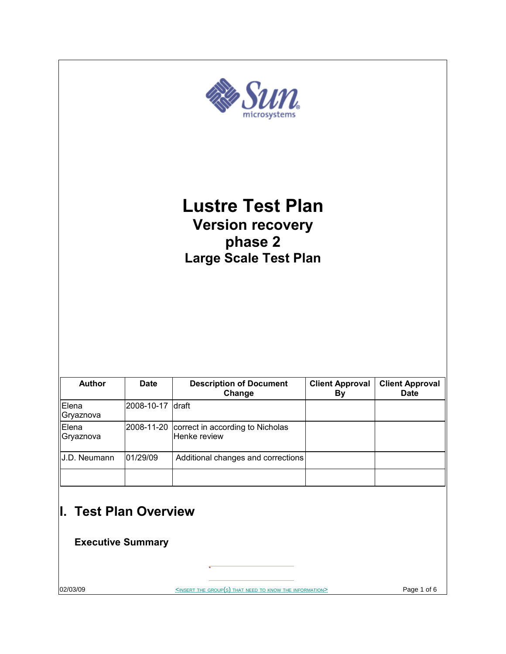

02/03/09 SINSERT THE GROUP(S) THAT NEED TO KNOW THE INFORMATION> Page 1 of 6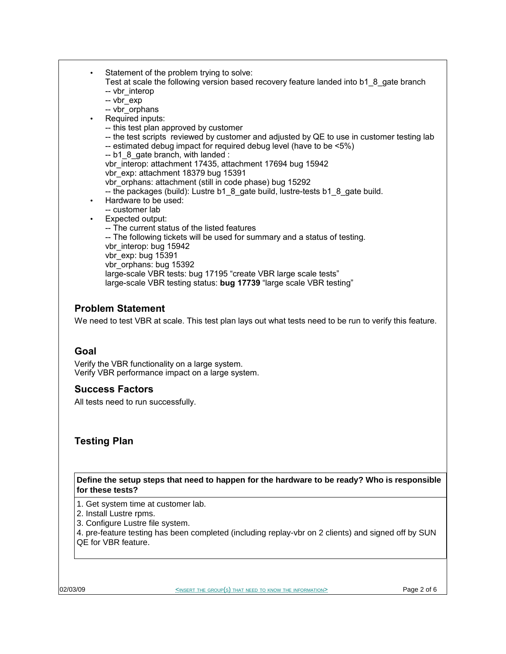Statement of the problem trying to solve: Test at scale the following version based recovery feature landed into b1\_8\_gate branch -- vbr interop -- vbr\_exp -- vbr\_orphans Required inputs: -- this test plan approved by customer -- the test scripts reviewed by customer and adjusted by QE to use in customer testing lab -- estimated debug impact for required debug level (have to be <5%) -- b1\_8\_gate branch, with landed : vbr interop: attachment 17435, attachment 17694 bug 15942 vbr\_exp: attachment 18379 bug 15391 vbr\_orphans: attachment (still in code phase) bug 15292 -- the packages (build): Lustre b1\_8\_gate build, lustre-tests b1\_8\_gate build. • Hardware to be used: -- customer lab • Expected output: -- The current status of the listed features -- The following tickets will be used for summary and a status of testing. vbr\_interop: bug 15942 vbr\_exp: bug 15391 vbr orphans: bug 15392 large-scale VBR tests: bug 17195 "create VBR large scale tests" large-scale VBR testing status: **bug 17739** "large scale VBR testing"

# **Problem Statement**

We need to test VBR at scale. This test plan lays out what tests need to be run to verify this feature.

### **Goal**

Verify the VBR functionality on a large system. Verify VBR performance impact on a large system.

### **Success Factors**

All tests need to run successfully.

### **Testing Plan**

**Define the setup steps that need to happen for the hardware to be ready? Who is responsible for these tests?**

1. Get system time at customer lab.

- 2. Install Lustre rpms.
- 3. Configure Lustre file system.

4. pre-feature testing has been completed (including replay-vbr on 2 clients) and signed off by SUN QE for VBR feature.

| 02/03/09 |  |
|----------|--|

02/03/09 <INSERT THE GROUP(S) THAT NEED TO KNOW THE INFORMATION> Page 2 of 6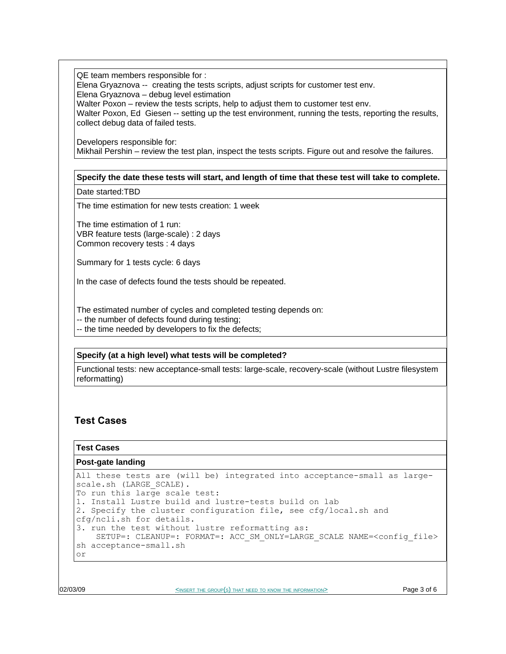QE team members responsible for :

Elena Gryaznova -- creating the tests scripts, adjust scripts for customer test env.

Elena Gryaznova – debug level estimation

Walter Poxon – review the tests scripts, help to adjust them to customer test env.

Walter Poxon, Ed Giesen -- setting up the test environment, running the tests, reporting the results, collect debug data of failed tests.

Developers responsible for: Mikhail Pershin – review the test plan, inspect the tests scripts. Figure out and resolve the failures.

#### **Specify the date these tests will start, and length of time that these test will take to complete.**

Date started:TBD

The time estimation for new tests creation: 1 week

The time estimation of 1 run: VBR feature tests (large-scale) : 2 days Common recovery tests : 4 days

Summary for 1 tests cycle: 6 days

In the case of defects found the tests should be repeated.

The estimated number of cycles and completed testing depends on:

-- the number of defects found during testing;

-- the time needed by developers to fix the defects;

#### **Specify (at a high level) what tests will be completed?**

Functional tests: new acceptance-small tests: large-scale, recovery-scale (without Lustre filesystem reformatting)

# **Test Cases**

#### **Test Cases**

```
Post-gate landing
```

```
All these tests are (will be) integrated into acceptance-small as large-
scale.sh (LARGE SCALE).
To run this large scale test:
1. Install Lustre build and lustre-tests build on lab
2. Specify the cluster configuration file, see cfg/local.sh and
cfg/ncli.sh for details.
3. run the test without lustre reformatting as:
   SETUP=: CLEANUP=: FORMAT=: ACC SM_ONLY=LARGE_SCALE NAME=<config_file>
sh acceptance-small.sh 
or
```
02/03/09 **Page 3 of 6** EXPERT THE GROUP(S) THAT NEED TO KNOW THE INFORMATION> **Page 3 of 6**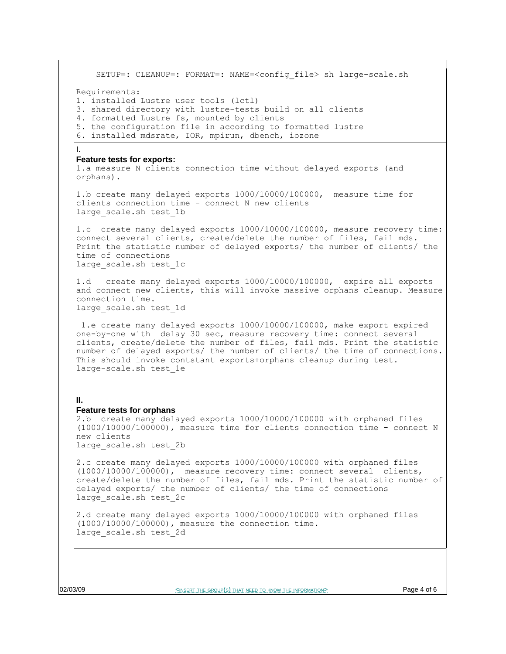SETUP=: CLEANUP=: FORMAT=: NAME=<config\_file> sh large-scale.sh Requirements: 1. installed Lustre user tools (lctl) 3. shared directory with lustre-tests build on all clients 4. formatted Lustre fs, mounted by clients 5. the configuration file in according to formatted lustre 6. installed mdsrate, IOR, mpirun, dbench, iozone I. **Feature tests for exports:** 1.a measure N clients connection time without delayed exports (and orphans). 1.b create many delayed exports 1000/10000/100000, measure time for clients connection time - connect N new clients large scale.sh test 1b 1.c create many delayed exports 1000/10000/100000, measure recovery time: connect several clients, create/delete the number of files, fail mds. Print the statistic number of delayed exports/ the number of clients/ the time of connections large scale.sh test 1c 1.d create many delayed exports 1000/10000/100000, expire all exports and connect new clients, this will invoke massive orphans cleanup. Measure connection time. large scale.sh test 1d 1.e create many delayed exports 1000/10000/100000, make export expired one-by-one with delay 30 sec, measure recovery time: connect several clients, create/delete the number of files, fail mds. Print the statistic number of delayed exports/ the number of clients/ the time of connections. This should invoke contstant exports+orphans cleanup during test. large-scale.sh test\_1e **II. Feature tests for orphans** 2.b create many delayed exports 1000/10000/100000 with orphaned files (1000/10000/100000), measure time for clients connection time - connect N new clients large\_scale.sh test\_2b 2.c create many delayed exports 1000/10000/100000 with orphaned files (1000/10000/100000), measure recovery time: connect several clients, create/delete the number of files, fail mds. Print the statistic number of delayed exports/ the number of clients/ the time of connections large\_scale.sh test\_2c

2.d create many delayed exports 1000/10000/100000 with orphaned files (1000/10000/100000), measure the connection time. large\_scale.sh test\_2d

02/03/09 **Page 4 of 6** SINSERT THE GROUP(S) THAT NEED TO KNOW THE INFORMATION>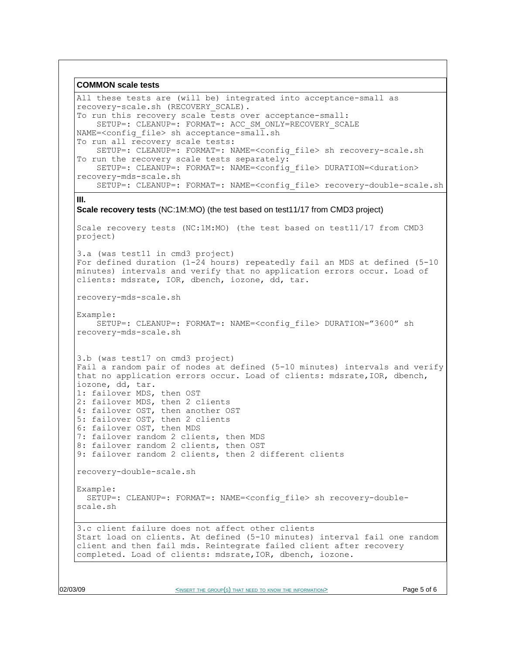```
COMMON scale tests
All these tests are (will be) integrated into acceptance-small as
recovery-scale.sh (RECOVERY_SCALE).
To run this recovery scale tests over acceptance-small:
    SETUP=: CLEANUP=: FORMAT=: ACC SM_ONLY=RECOVERY_SCALE
NAME=\text{condig file} > \text{sh acceptance-small}.sh
To run all recovery scale tests:
     SETUP=: CLEANUP=: FORMAT=: NAME=<config_file> sh recovery-scale.sh
To run the recovery scale tests separately:
     SETUP=: CLEANUP=: FORMAT=: NAME=<config_file> DURATION=<duration>
recovery-mds-scale.sh
     SETUP=: CLEANUP=: FORMAT=: NAME=<config_file> recovery-double-scale.sh
III.
Scale recovery tests (NC:1M:MO) (the test based on test11/17 from CMD3 project)
Scale recovery tests (NC:1M:MO) (the test based on test11/17 from CMD3
project)
3.a (was test11 in cmd3 project)
For defined duration (1-24 hours) repeatedly fail an MDS at defined (5-10
minutes) intervals and verify that no application errors occur. Load of
clients: mdsrate, IOR, dbench, iozone, dd, tar.
recovery-mds-scale.sh
Example:
     SETUP=: CLEANUP=: FORMAT=: NAME=<config_file> DURATION="3600" sh
recovery-mds-scale.sh
3.b (was test17 on cmd3 project)
Fail a random pair of nodes at defined (5-10 minutes) intervals and verify
that no application errors occur. Load of clients: mdsrate,IOR, dbench,
iozone, dd, tar.
1: failover MDS, then OST
2: failover MDS, then 2 clients
4: failover OST, then another OST
5: failover OST, then 2 clients
6: failover OST, then MDS
7: failover random 2 clients, then MDS
8: failover random 2 clients, then OST
9: failover random 2 clients, then 2 different clients
recovery-double-scale.sh 
Example:
  SETUP=: CLEANUP=: FORMAT=: NAME=<config_file> sh recovery-double-
scale.sh
3.c client failure does not affect other clients
Start load on clients. At defined (5-10 minutes) interval fail one random
client and then fail mds. Reintegrate failed client after recovery
completed. Load of clients: mdsrate,IOR, dbench, iozone.
```
O2/03/09 **Page 5 of 6** SINSERT THE GROUP(S) THAT NEED TO KNOW THE INFORMATION> **Page 5 of 6**